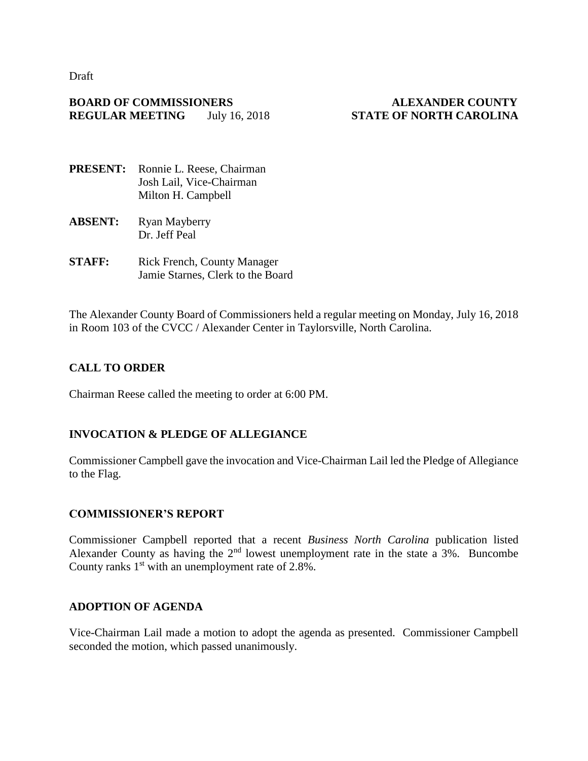Draft

#### **BOARD OF COMMISSIONERS ALEXANDER COUNTY REGULAR MEETING** July 16, 2018 **STATE OF NORTH CAROLINA**

- **PRESENT:** Ronnie L. Reese, Chairman Josh Lail, Vice-Chairman Milton H. Campbell
- **ABSENT:** Ryan Mayberry Dr. Jeff Peal
- **STAFF:** Rick French, County Manager Jamie Starnes, Clerk to the Board

The Alexander County Board of Commissioners held a regular meeting on Monday, July 16, 2018 in Room 103 of the CVCC / Alexander Center in Taylorsville, North Carolina.

# **CALL TO ORDER**

Chairman Reese called the meeting to order at 6:00 PM.

# **INVOCATION & PLEDGE OF ALLEGIANCE**

Commissioner Campbell gave the invocation and Vice-Chairman Lail led the Pledge of Allegiance to the Flag.

#### **COMMISSIONER'S REPORT**

Commissioner Campbell reported that a recent *Business North Carolina* publication listed Alexander County as having the  $2<sup>nd</sup>$  lowest unemployment rate in the state a 3%. Buncombe County ranks  $1<sup>st</sup>$  with an unemployment rate of 2.8%.

#### **ADOPTION OF AGENDA**

Vice-Chairman Lail made a motion to adopt the agenda as presented. Commissioner Campbell seconded the motion, which passed unanimously.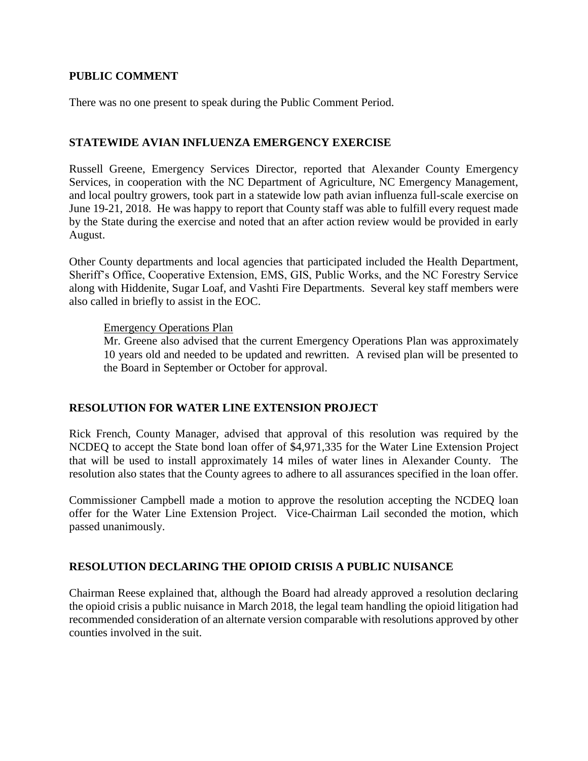#### **PUBLIC COMMENT**

There was no one present to speak during the Public Comment Period.

# **STATEWIDE AVIAN INFLUENZA EMERGENCY EXERCISE**

Russell Greene, Emergency Services Director, reported that Alexander County Emergency Services, in cooperation with the NC Department of Agriculture, NC Emergency Management, and local poultry growers, took part in a statewide low path avian influenza full-scale exercise on June 19-21, 2018. He was happy to report that County staff was able to fulfill every request made by the State during the exercise and noted that an after action review would be provided in early August.

Other County departments and local agencies that participated included the Health Department, Sheriff's Office, Cooperative Extension, EMS, GIS, Public Works, and the NC Forestry Service along with Hiddenite, Sugar Loaf, and Vashti Fire Departments. Several key staff members were also called in briefly to assist in the EOC.

#### Emergency Operations Plan

Mr. Greene also advised that the current Emergency Operations Plan was approximately 10 years old and needed to be updated and rewritten. A revised plan will be presented to the Board in September or October for approval.

# **RESOLUTION FOR WATER LINE EXTENSION PROJECT**

Rick French, County Manager, advised that approval of this resolution was required by the NCDEQ to accept the State bond loan offer of \$4,971,335 for the Water Line Extension Project that will be used to install approximately 14 miles of water lines in Alexander County. The resolution also states that the County agrees to adhere to all assurances specified in the loan offer.

Commissioner Campbell made a motion to approve the resolution accepting the NCDEQ loan offer for the Water Line Extension Project. Vice-Chairman Lail seconded the motion, which passed unanimously.

# **RESOLUTION DECLARING THE OPIOID CRISIS A PUBLIC NUISANCE**

Chairman Reese explained that, although the Board had already approved a resolution declaring the opioid crisis a public nuisance in March 2018, the legal team handling the opioid litigation had recommended consideration of an alternate version comparable with resolutions approved by other counties involved in the suit.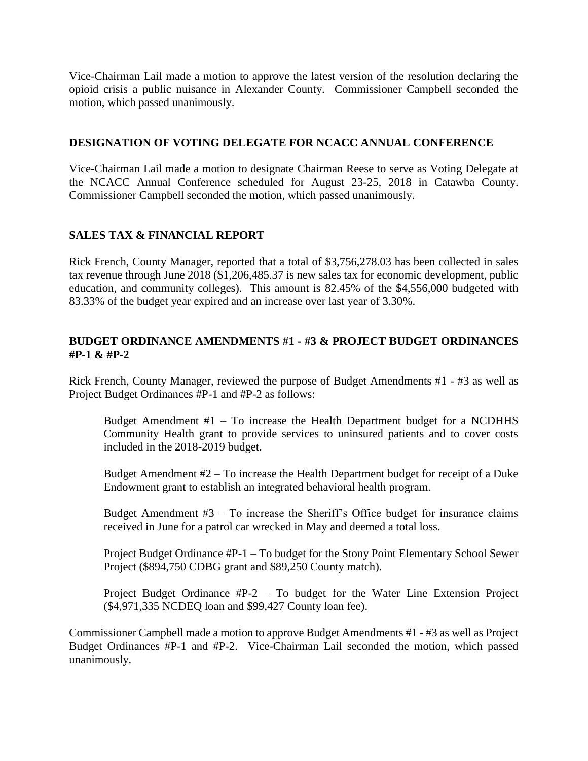Vice-Chairman Lail made a motion to approve the latest version of the resolution declaring the opioid crisis a public nuisance in Alexander County. Commissioner Campbell seconded the motion, which passed unanimously.

#### **DESIGNATION OF VOTING DELEGATE FOR NCACC ANNUAL CONFERENCE**

Vice-Chairman Lail made a motion to designate Chairman Reese to serve as Voting Delegate at the NCACC Annual Conference scheduled for August 23-25, 2018 in Catawba County. Commissioner Campbell seconded the motion, which passed unanimously.

# **SALES TAX & FINANCIAL REPORT**

Rick French, County Manager, reported that a total of \$3,756,278.03 has been collected in sales tax revenue through June 2018 (\$1,206,485.37 is new sales tax for economic development, public education, and community colleges). This amount is 82.45% of the \$4,556,000 budgeted with 83.33% of the budget year expired and an increase over last year of 3.30%.

## **BUDGET ORDINANCE AMENDMENTS #1 - #3 & PROJECT BUDGET ORDINANCES #P-1 & #P-2**

Rick French, County Manager, reviewed the purpose of Budget Amendments #1 - #3 as well as Project Budget Ordinances #P-1 and #P-2 as follows:

Budget Amendment  $#1 - To$  increase the Health Department budget for a NCDHHS Community Health grant to provide services to uninsured patients and to cover costs included in the 2018-2019 budget.

Budget Amendment #2 – To increase the Health Department budget for receipt of a Duke Endowment grant to establish an integrated behavioral health program.

Budget Amendment  $#3 - To increase the Sheriff's Office budget for insurance claims$ received in June for a patrol car wrecked in May and deemed a total loss.

Project Budget Ordinance #P-1 – To budget for the Stony Point Elementary School Sewer Project (\$894,750 CDBG grant and \$89,250 County match).

Project Budget Ordinance #P-2 – To budget for the Water Line Extension Project (\$4,971,335 NCDEQ loan and \$99,427 County loan fee).

Commissioner Campbell made a motion to approve Budget Amendments #1 - #3 as well as Project Budget Ordinances #P-1 and #P-2. Vice-Chairman Lail seconded the motion, which passed unanimously.